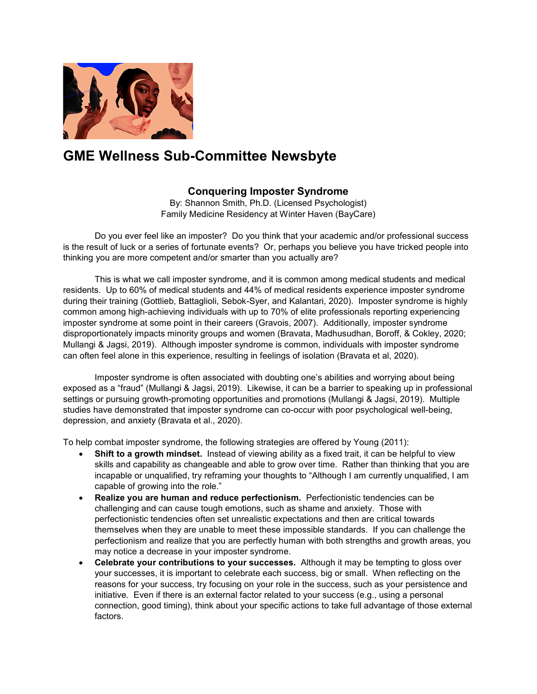

## **GME Wellness Sub-Committee Newsbyte**

## **Conquering Imposter Syndrome**

By: Shannon Smith, Ph.D. (Licensed Psychologist) Family Medicine Residency at Winter Haven (BayCare)

Do you ever feel like an imposter? Do you think that your academic and/or professional success is the result of luck or a series of fortunate events? Or, perhaps you believe you have tricked people into thinking you are more competent and/or smarter than you actually are?

This is what we call imposter syndrome, and it is common among medical students and medical residents. Up to 60% of medical students and 44% of medical residents experience imposter syndrome during their training (Gottlieb, Battaglioli, Sebok-Syer, and Kalantari, 2020). Imposter syndrome is highly common among high-achieving individuals with up to 70% of elite professionals reporting experiencing imposter syndrome at some point in their careers (Gravois, 2007). Additionally, imposter syndrome disproportionately impacts minority groups and women (Bravata, Madhusudhan, Boroff, & Cokley, 2020; Mullangi & Jagsi, 2019). Although imposter syndrome is common, individuals with imposter syndrome can often feel alone in this experience, resulting in feelings of isolation (Bravata et al, 2020).

Imposter syndrome is often associated with doubting one's abilities and worrying about being exposed as a "fraud" (Mullangi & Jagsi, 2019). Likewise, it can be a barrier to speaking up in professional settings or pursuing growth-promoting opportunities and promotions (Mullangi & Jagsi, 2019). Multiple studies have demonstrated that imposter syndrome can co-occur with poor psychological well-being, depression, and anxiety (Bravata et al., 2020).

To help combat imposter syndrome, the following strategies are offered by Young (2011):

- **Shift to a growth mindset.** Instead of viewing ability as a fixed trait, it can be helpful to view skills and capability as changeable and able to grow over time. Rather than thinking that you are incapable or unqualified, try reframing your thoughts to "Although I am currently unqualified, I am capable of growing into the role."
- **Realize you are human and reduce perfectionism.** Perfectionistic tendencies can be challenging and can cause tough emotions, such as shame and anxiety. Those with perfectionistic tendencies often set unrealistic expectations and then are critical towards themselves when they are unable to meet these impossible standards. If you can challenge the perfectionism and realize that you are perfectly human with both strengths and growth areas, you may notice a decrease in your imposter syndrome.
- **Celebrate your contributions to your successes.** Although it may be tempting to gloss over your successes, it is important to celebrate each success, big or small. When reflecting on the reasons for your success, try focusing on your role in the success, such as your persistence and initiative. Even if there is an external factor related to your success (e.g., using a personal connection, good timing), think about your specific actions to take full advantage of those external factors.